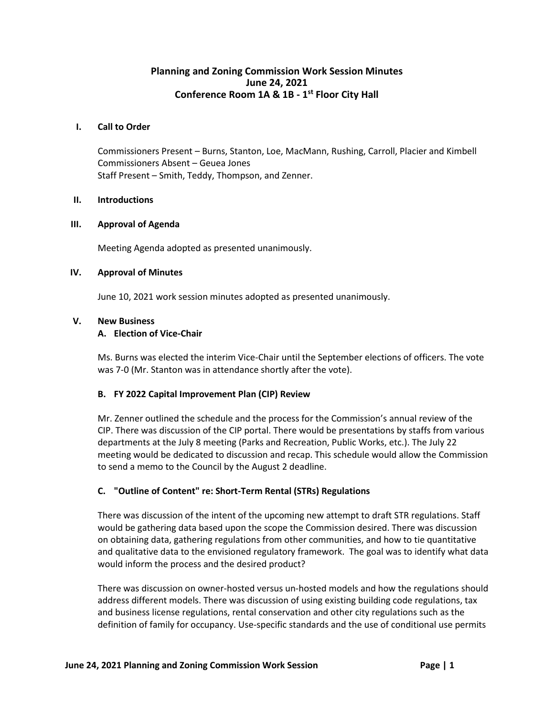# **Planning and Zoning Commission Work Session Minutes June 24, 2021 Conference Room 1A & 1B - 1 st Floor City Hall**

#### **I. Call to Order**

Commissioners Present – Burns, Stanton, Loe, MacMann, Rushing, Carroll, Placier and Kimbell Commissioners Absent – Geuea Jones Staff Present – Smith, Teddy, Thompson, and Zenner.

#### **II. Introductions**

#### **III. Approval of Agenda**

Meeting Agenda adopted as presented unanimously.

#### **IV. Approval of Minutes**

June 10, 2021 work session minutes adopted as presented unanimously.

#### **V. New Business**

# **A. Election of Vice-Chair**

Ms. Burns was elected the interim Vice-Chair until the September elections of officers. The vote was 7-0 (Mr. Stanton was in attendance shortly after the vote).

# **B. FY 2022 Capital Improvement Plan (CIP) Review**

Mr. Zenner outlined the schedule and the process for the Commission's annual review of the CIP. There was discussion of the CIP portal. There would be presentations by staffs from various departments at the July 8 meeting (Parks and Recreation, Public Works, etc.). The July 22 meeting would be dedicated to discussion and recap. This schedule would allow the Commission to send a memo to the Council by the August 2 deadline.

# **C. "Outline of Content" re: Short-Term Rental (STRs) Regulations**

There was discussion of the intent of the upcoming new attempt to draft STR regulations. Staff would be gathering data based upon the scope the Commission desired. There was discussion on obtaining data, gathering regulations from other communities, and how to tie quantitative and qualitative data to the envisioned regulatory framework. The goal was to identify what data would inform the process and the desired product?

There was discussion on owner-hosted versus un-hosted models and how the regulations should address different models. There was discussion of using existing building code regulations, tax and business license regulations, rental conservation and other city regulations such as the definition of family for occupancy. Use-specific standards and the use of conditional use permits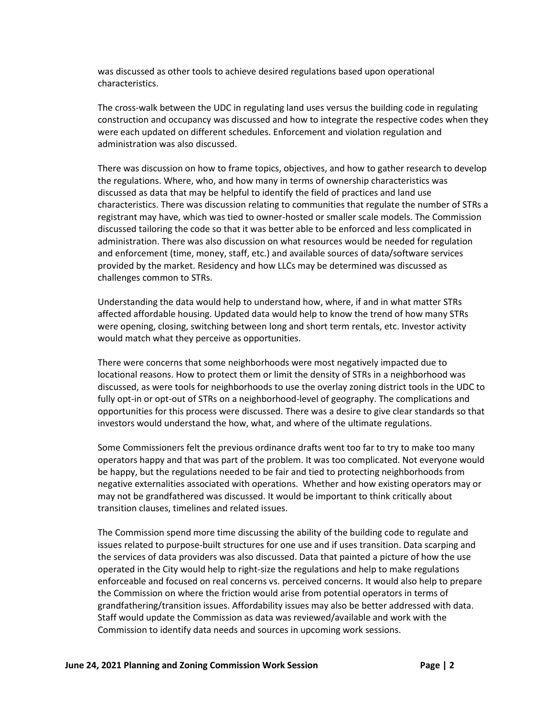was discussed as other tools to achieve desired regulations based upon operational characteristics.

The cross-walk between the UDC in regulating land uses versus the building code in regulating construction and occupancy was discussed and how to integrate the respective codes when they were each updated on different schedules. Enforcement and violation regulation and administration was also discussed.

There was discussion on how to frame topics, objectives, and how to gather research to develop the regulations. Where, who, and how many in terms of ownership characteristics was discussed as data that may be helpful to identify the field of practices and land use characteristics. There was discussion relating to communities that regulate the number of STRs a registrant may have, which was tied to owner-hosted or smaller scale models. The Commission discussed tailoring the code so that it was better able to be enforced and less complicated in administration. There was also discussion on what resources would be needed for regulation and enforcement (time, money, staff, etc.) and available sources of data/software services provided by the market. Residency and how LLCs may be determined was discussed as challenges common to STRs.

Understanding the data would help to understand how, where, if and in what matter STRs affected affordable housing. Updated data would help to know the trend of how many STRs were opening, closing, switching between long and short term rentals, etc. Investor activity would match what they perceive as opportunities.

There were concerns that some neighborhoods were most negatively impacted due to locational reasons. How to protect them or limit the density of STRs in a neighborhood was discussed, as were tools for neighborhoods to use the overlay zoning district tools in the UDC to fully opt-in or opt-out of STRs on a neighborhood-level of geography. The complications and opportunities for this process were discussed. There was a desire to give clear standards so that investors would understand the how, what, and where of the ultimate regulations.

Some Commissioners felt the previous ordinance drafts went too far to try to make too many operators happy and that was part of the problem. It was too complicated. Not everyone would be happy, but the regulations needed to be fair and tied to protecting neighborhoods from negative externalities associated with operations. Whether and how existing operators may or may not be grandfathered was discussed. It would be important to think critically about transition clauses, timelines and related issues.

The Commission spend more time discussing the ability of the building code to regulate and issues related to purpose-built structures for one use and if uses transition. Data scarping and the services of data providers was also discussed. Data that painted a picture of how the use operated in the City would help to right-size the regulations and help to make regulations enforceable and focused on real concerns vs. perceived concerns. It would also help to prepare the Commission on where the friction would arise from potential operators in terms of grandfathering/transition issues. Affordability issues may also be better addressed with data. Staff would update the Commission as data was reviewed/available and work with the Commission to identify data needs and sources in upcoming work sessions.